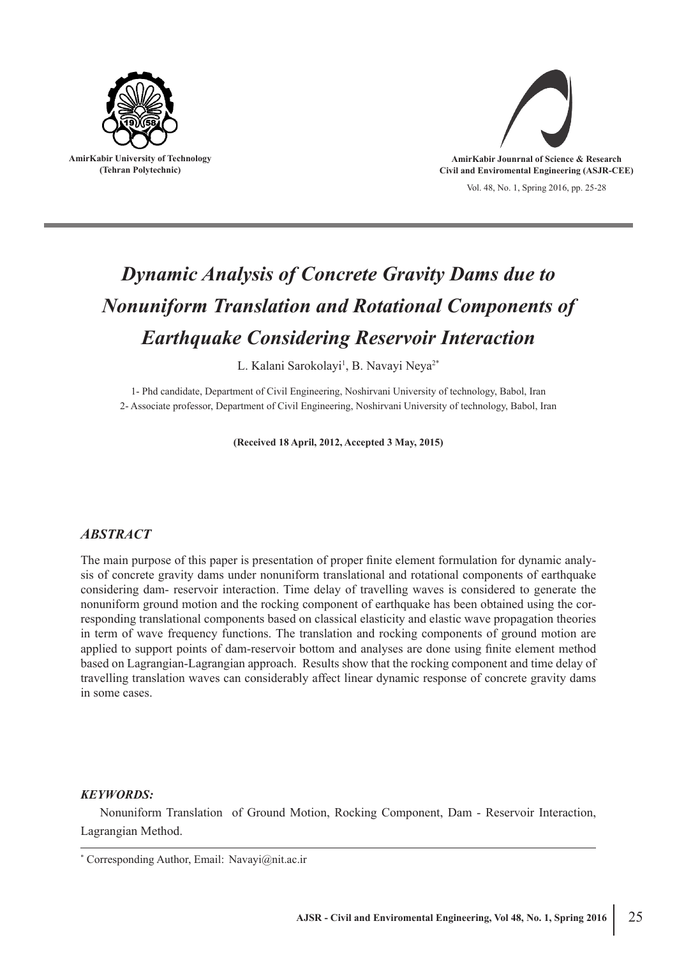



# *Dynamic Analysis of Concrete Gravity Dams due to Nonuniform Translation and Rotational Components of Earthquake Considering Reservoir Interaction*

L. Kalani Sarokolayi<sup>1</sup>, B. Navayi Neya<sup>2\*</sup>

1- Phd candidate, Department of Civil Engineering, Noshirvani University of technology, Babol, Iran 2- Associate professor, Department of Civil Engineering, Noshirvani University of technology, Babol, Iran

**(Received 18 April, 2012, Accepted 3 May, 2015)**

## *ABSTRACT*

The main purpose of this paper is presentation of proper finite element formulation for dynamic analysis of concrete gravity dams under nonuniform translational and rotational components of earthquake considering dam- reservoir interaction. Time delay of travelling waves is considered to generate the nonuniform ground motion and the rocking component of earthquake has been obtained using the corresponding translational components based on classical elasticity and elastic wave propagation theories in term of wave frequency functions. The translation and rocking components of ground motion are applied to support points of dam-reservoir bottom and analyses are done using finite element method based on Lagrangian-Lagrangian approach. Results show that the rocking component and time delay of travelling translation waves can considerably affect linear dynamic response of concrete gravity dams in some cases.

### *KEYWORDS:*

Nonuniform Translation of Ground Motion, Rocking Component, Dam - Reservoir Interaction, Lagrangian Method.

<sup>\*</sup> Corresponding Author, Email: Navayi@nit.ac.ir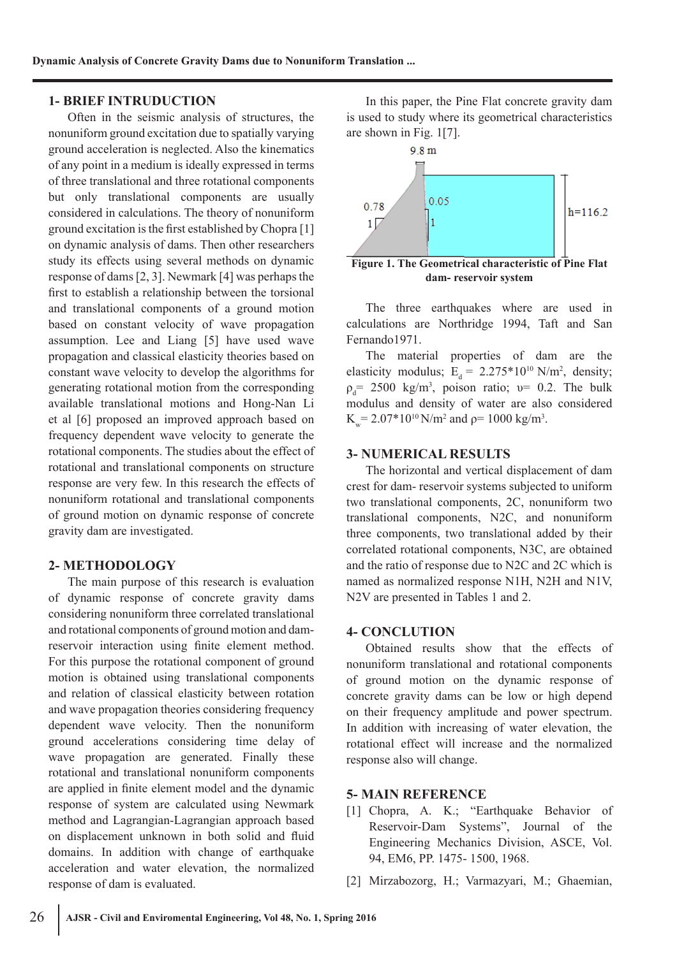## **1- BRIEF INTRUDUCTION**

Often in the seismic analysis of structures, the nonuniform ground excitation due to spatially varying ground acceleration is neglected. Also the kinematics of any point in a medium is ideally expressed in terms of three translational and three rotational components but only translational components are usually considered in calculations. The theory of nonuniform ground excitation is the first established by Chopra [1] on dynamic analysis of dams. Then other researchers study its effects using several methods on dynamic response of dams [2, 3]. Newmark [4] was perhaps the first to establish a relationship between the torsional and translational components of a ground motion based on constant velocity of wave propagation assumption. Lee and Liang [5] have used wave propagation and classical elasticity theories based on constant wave velocity to develop the algorithms for generating rotational motion from the corresponding available translational motions and Hong-Nan Li et al [6] proposed an improved approach based on frequency dependent wave velocity to generate the rotational components. The studies about the effect of rotational and translational components on structure response are very few. In this research the effects of nonuniform rotational and translational components of ground motion on dynamic response of concrete gravity dam are investigated.

## **2- METHODOLOGY**

The main purpose of this research is evaluation of dynamic response of concrete gravity dams considering nonuniform three correlated translational and rotational components of ground motion and damreservoir interaction using finite element method. For this purpose the rotational component of ground motion is obtained using translational components and relation of classical elasticity between rotation and wave propagation theories considering frequency dependent wave velocity. Then the nonuniform ground accelerations considering time delay of wave propagation are generated. Finally these rotational and translational nonuniform components are applied in finite element model and the dynamic response of system are calculated using Newmark method and Lagrangian-Lagrangian approach based on displacement unknown in both solid and fluid domains. In addition with change of earthquake acceleration and water elevation, the normalized response of dam is evaluated.

In this paper, the Pine Flat concrete gravity dam is used to study where its geometrical characteristics are shown in Fig. 1[7].



The three earthquakes where are used in calculations are Northridge 1994, Taft and San Fernando1971.

The material properties of dam are the elasticity modulus;  $E_d = 2.275*10^{10} \text{ N/m}^2$ , density;  $\rho_d$  = 2500 kg/m<sup>3</sup>, poison ratio;  $\nu$  = 0.2. The bulk modulus and density of water are also considered  $K_w = 2.07*10^{10} \text{ N/m}^2$  and  $\rho = 1000 \text{ kg/m}^3$ .

## **3- NUMERICAL RESULTS**

The horizontal and vertical displacement of dam crest for dam- reservoir systems subjected to uniform two translational components, 2C, nonuniform two translational components, N2C, and nonuniform three components, two translational added by their correlated rotational components, N3C, are obtained and the ratio of response due to N2C and 2C which is named as normalized response N1H, N2H and N1V, N2V are presented in Tables 1 and 2.

### **4- CONCLUTION**

Obtained results show that the effects of nonuniform translational and rotational components of ground motion on the dynamic response of concrete gravity dams can be low or high depend on their frequency amplitude and power spectrum. In addition with increasing of water elevation, the rotational effect will increase and the normalized response also will change.

### **5- MAIN REFERENCE**

- [1] Chopra, A. K.; "Earthquake Behavior of Reservoir-Dam Systems", Journal of the Engineering Mechanics Division, ASCE, Vol. 94, EM6, PP. 1475- 1500, 1968.
- [2] Mirzabozorg, H.; Varmazyari, M.; Ghaemian,